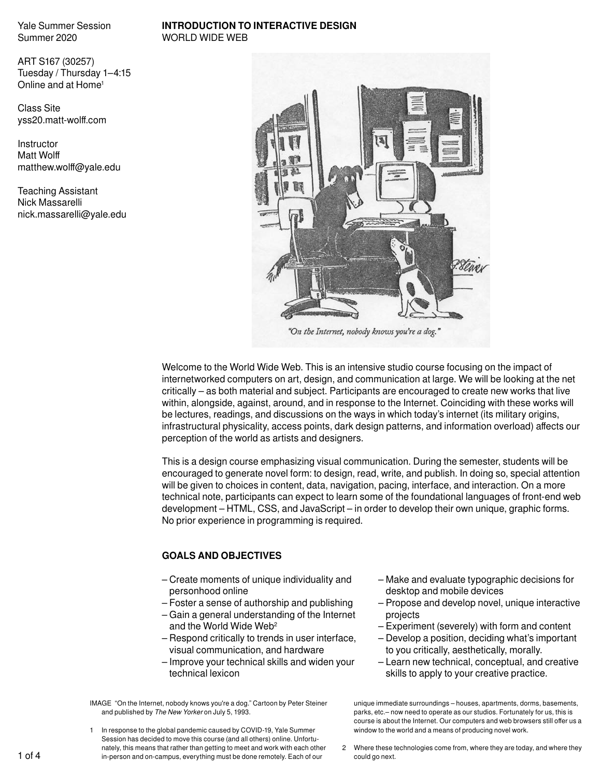#### **INTRODUCTION TO INTERACTIVE DESIGN**  WORLD WIDE WEB

ART S167 (30257) Tuesday / Thursday 1–4:15 Online and at Home<sup>1</sup>

Class Site yss20.matt-wolff.com

**Instructor** Matt Wolff matthew.wolff@yale.edu

Teaching Assistant Nick Massarelli nick.massarelli@yale.edu



"On the Internet, nobody knows you're a dog."

Welcome to the World Wide Web. This is an intensive studio course focusing on the impact of internetworked computers on art, design, and communication at large. We will be looking at the net critically – as both material and subject. Participants are encouraged to create new works that live within, alongside, against, around, and in response to the Internet. Coinciding with these works will be lectures, readings, and discussions on the ways in which today's internet (its military origins, infrastructural physicality, access points, dark design patterns, and information overload) affects our perception of the world as artists and designers.

This is a design course emphasizing visual communication. During the semester, students will be encouraged to generate novel form: to design, read, write, and publish. In doing so, special attention will be given to choices in content, data, navigation, pacing, interface, and interaction. On a more technical note, participants can expect to learn some of the foundational languages of front-end web development – HTML, CSS, and JavaScript – in order to develop their own unique, graphic forms. No prior experience in programming is required.

## **GOALS AND OBJECTIVES**

- Create moments of unique individuality and personhood online
- Foster a sense of authorship and publishing
- Gain a general understanding of the Internet and the World Wide Web<sup>2</sup>
- Respond critically to trends in user interface, visual communication, and hardware
- Improve your technical skills and widen your technical lexicon

IMAGE "On the Internet, nobody knows you're a dog." Cartoon by Peter Steiner and published by *The New Yorker* on July 5, 1993.

1 In response to the global pandemic caused by COVID-19, Yale Summer Session has decided to move this course (and all others) online. Unfortunately, this means that rather than getting to meet and work with each other in-person and on-campus, everything must be done remotely. Each of our

- Make and evaluate typographic decisions for desktop and mobile devices
- Propose and develop novel, unique interactive projects
- Experiment (severely) with form and content
- Develop a position, deciding what's important to you critically, aesthetically, morally.
- Learn new technical, conceptual, and creative skills to apply to your creative practice.

unique immediate surroundings – houses, apartments, dorms, basements, parks, etc.– now need to operate as our studios. Fortunately for us, this is course is about the Internet. Our computers and web browsers still offer us a window to the world and a means of producing novel work.

2 Where these technologies come from, where they are today, and where they could go next.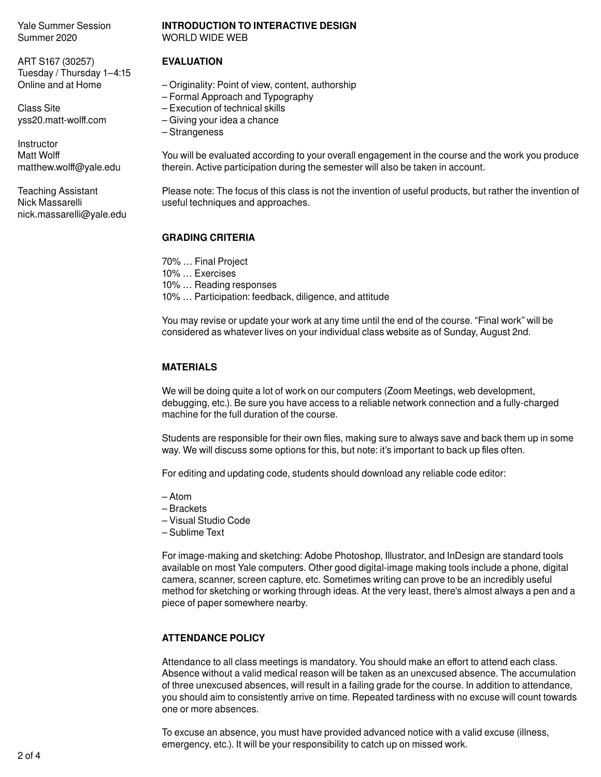ART S167 (30257) Tuesday / Thursday 1–4:15 Online and at Home

Class Site yss20.matt-wolff.com

**Instructor** Matt Wolff matthew.wolff@yale.edu

Teaching Assistant Nick Massarelli nick.massarelli@yale.edu

#### **INTRODUCTION TO INTERACTIVE DESIGN**  WORLD WIDE WEB

### **EVALUATION**

- Originality: Point of view, content, authorship
- Formal Approach and Typography
- Execution of technical skills
- Giving your idea a chance
- Strangeness

You will be evaluated according to your overall engagement in the course and the work you produce therein. Active participation during the semester will also be taken in account.

Please note: The focus of this class is not the invention of useful products, but rather the invention of useful techniques and approaches.

## **GRADING CRITERIA**

70% … Final Project 10% … Exercises 10% … Reading responses 10% … Participation: feedback, diligence, and attitude

You may revise or update your work at any time until the end of the course. "Final work" will be considered as whatever lives on your individual class website as of Sunday, August 2nd.

# **MATERIALS**

We will be doing quite a lot of work on our computers (Zoom Meetings, web development, debugging, etc.). Be sure you have access to a reliable network connection and a fully-charged machine for the full duration of the course.

Students are responsible for their own files, making sure to always save and back them up in some way. We will discuss some options for this, but note: it's important to back up files often.

For editing and updating code, students should download any reliable code editor:

- Atom
- Brackets
- Visual Studio Code
- Sublime Text

For image-making and sketching: Adobe Photoshop, Illustrator, and InDesign are standard tools available on most Yale computers. Other good digital-image making tools include a phone, digital camera, scanner, screen capture, etc. Sometimes writing can prove to be an incredibly useful method for sketching or working through ideas. At the very least, there's almost always a pen and a piece of paper somewhere nearby.

## **ATTENDANCE POLICY**

Attendance to all class meetings is mandatory. You should make an effort to attend each class. Absence without a valid medical reason will be taken as an unexcused absence. The accumulation of three unexcused absences, will result in a failing grade for the course. In addition to attendance, you should aim to consistently arrive on time. Repeated tardiness with no excuse will count towards one or more absences.

To excuse an absence, you must have provided advanced notice with a valid excuse (illness, emergency, etc.). It will be your responsibility to catch up on missed work.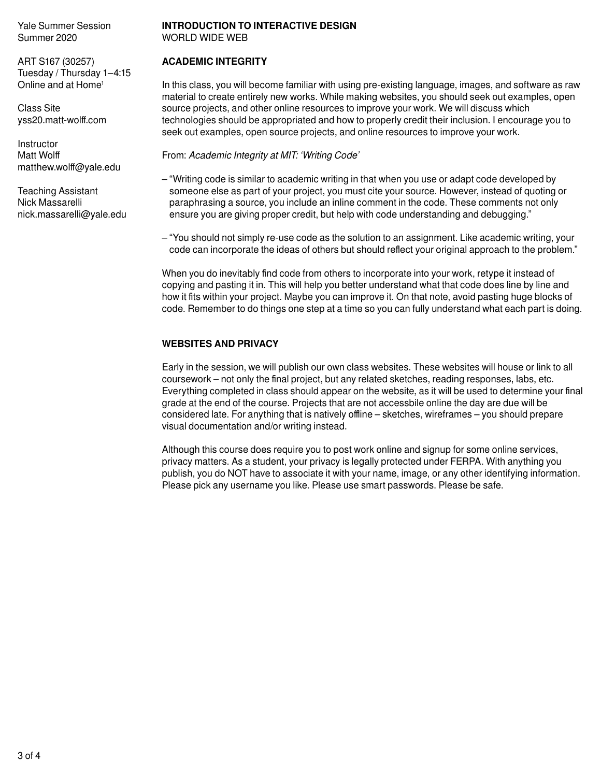ART S167 (30257) Tuesday / Thursday 1–4:15 Online and at Home<sup>1</sup>

Class Site yss20.matt-wolff.com

**Instructor** Matt Wolff matthew.wolff@yale.edu

Teaching Assistant Nick Massarelli nick.massarelli@yale.edu

#### **INTRODUCTION TO INTERACTIVE DESIGN**  WORLD WIDE WEB

## **ACADEMIC INTEGRITY**

In this class, you will become familiar with using pre-existing language, images, and software as raw material to create entirely new works. While making websites, you should seek out examples, open source projects, and other online resources to improve your work. We will discuss which technologies should be appropriated and how to properly credit their inclusion. I encourage you to seek out examples, open source projects, and online resources to improve your work.

From: *Academic Integrity at MIT: 'Writing Code'*

- "Writing code is similar to academic writing in that when you use or adapt code developed by someone else as part of your project, you must cite your source. However, instead of quoting or paraphrasing a source, you include an inline comment in the code. These comments not only ensure you are giving proper credit, but help with code understanding and debugging."
- "You should not simply re-use code as the solution to an assignment. Like academic writing, your code can incorporate the ideas of others but should reflect your original approach to the problem."

When you do inevitably find code from others to incorporate into your work, retype it instead of copying and pasting it in. This will help you better understand what that code does line by line and how it fits within your project. Maybe you can improve it. On that note, avoid pasting huge blocks of code. Remember to do things one step at a time so you can fully understand what each part is doing.

## **WEBSITES AND PRIVACY**

Early in the session, we will publish our own class websites. These websites will house or link to all coursework – not only the final project, but any related sketches, reading responses, labs, etc. Everything completed in class should appear on the website, as it will be used to determine your final grade at the end of the course. Projects that are not accessbile online the day are due will be considered late. For anything that is natively offline – sketches, wireframes – you should prepare visual documentation and/or writing instead.

Although this course does require you to post work online and signup for some online services, privacy matters. As a student, your privacy is legally protected under FERPA. With anything you publish, you do NOT have to associate it with your name, image, or any other identifying information. Please pick any username you like. Please use smart passwords. Please be safe.